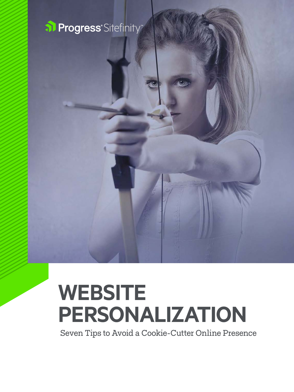

# **WEBSITE PERSONALIZATION**

Seven Tips to Avoid a Cookie-Cutter Online Presence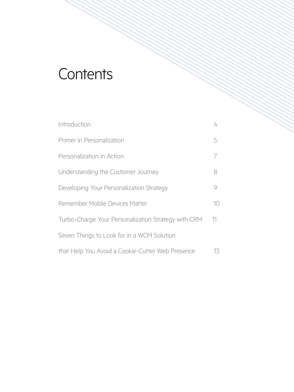### **Contents**

| Introduction                                        | 4               |
|-----------------------------------------------------|-----------------|
| Primer in Personalization                           | 5               |
| Personalization in Action                           | 7               |
| Understanding the Customer Journey                  | 8               |
| Developing Your Personalization Strategy            | 9               |
| Remember Mobile Devices Matter                      | 10 <sup>°</sup> |
| Turbo-Charge Your Personalization Strategy with CRM | 11              |
| Seven Things to Look for in a WCM Solution          |                 |
| that Help You Avoid a Cookie-Cutter Web Presence    | 13              |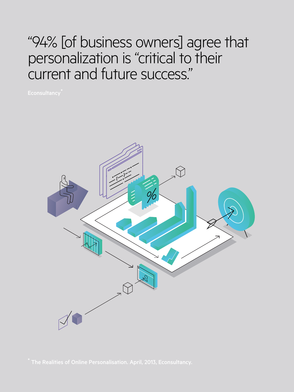### "94% [of business owners] agree that personalization is "critical to their current and future success."

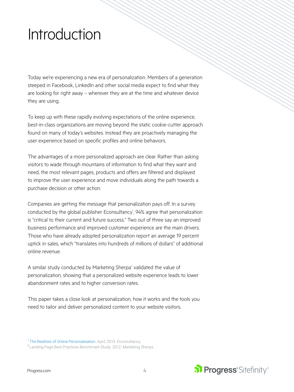### <span id="page-3-0"></span>Introduction

Today we're experiencing a new era of personalization. Members of a generation steeped in Facebook, LinkedIn and other social media expect to find what they are looking for right away – wherever they are at the time and whatever device they are using.

To keep up with these rapidly evolving expectations of the online experience, best-in-class organizations are moving beyond the static cookie-cutter approach found on many of today's websites. Instead they are proactively managing the user experience based on specific profiles and online behaviors.

The advantages of a more personalized approach are clear. Rather than asking visitors to wade through mountains of information to find what they want and need, the most relevant pages, products and offers are filtered and displayed to improve the user experience and move individuals along the path towards a purchase decision or other action.

Companies are getting the message that personalization pays off. In a survey conducted by the global publisher Econsultancy<sup>1</sup>, 94% agree that personalization is "critical to their current and future success." Two out of three say an improved business performance and improved customer experience are the main drivers. Those who have already adopted personalization report an average 19 percent uptick in sales, which "translates into hundreds of millions of dollars" of additional online revenue.

A similar study conducted by Marketing Sherpa<sup>2</sup> validated the value of personalization, showing that a personalized website experience leads to lower abandonment rates and to higher conversion rates.

This paper takes a close look at personalization, how it works and the tools you need to tailor and deliver personalized content to your website visitors.



<sup>&</sup>lt;sup>1</sup> [The Realities of Online Personalisation.](https://econsultancy.com/reports/the-realities-of-online-personalisation-report) April, 2013. Econsultancy.

<sup>&</sup>lt;sup>2</sup> Landing Page Best Practices Benchmark Study. 2012. Marketing Sherpa.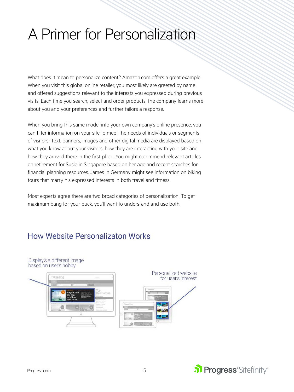## <span id="page-4-0"></span>A Primer for Personalization

What does it mean to personalize content? Amazon.com offers a great example. When you visit this global online retailer, you most likely are greeted by name and offered suggestions relevant to the interests you expressed during previous visits. Each time you search, select and order products, the company learns more about you and your preferences and further tailors a response.

When you bring this same model into your own company's online presence, you can filter information on your site to meet the needs of individuals or segments of visitors. Text, banners, images and other digital media are displayed based on what you know about your visitors, how they are interacting with your site and how they arrived there in the first place. You might recommend relevant articles on retirement for Susie in Singapore based on her age and recent searches for financial planning resources. James in Germany might see information on biking tours that marry his expressed interests in both travel and fitness.

Most experts agree there are two broad categories of personalization. To get maximum bang for your buck, you'll want to understand and use both.

### How Website Personalizaton Works

Display's a different image

based on user's hobby Personalized website for user's interest

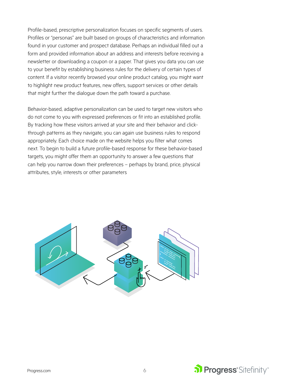Profile-based, prescriptive personalization focuses on specific segments of users. Profiles or "personas" are built based on groups of characteristics and information found in your customer and prospect database. Perhaps an individual filled out a form and provided information about an address and interests before receiving a newsletter or downloading a coupon or a paper. That gives you data you can use to your benefit by establishing business rules for the delivery of certain types of content. If a visitor recently browsed your online product catalog, you might want to highlight new product features, new offers, support services or other details that might further the dialogue down the path toward a purchase.

Behavior-based, adaptive personalization can be used to target new visitors who do not come to you with expressed preferences or fit into an established profile. By tracking how these visitors arrived at your site and their behavior and clickthrough patterns as they navigate, you can again use business rules to respond appropriately. Each choice made on the website helps you filter what comes next. To begin to build a future profile-based response for these behavior-based targets, you might offer them an opportunity to answer a few questions that can help you narrow down their preferences – perhaps by brand, price, physical attributes, style, interests or other parameters



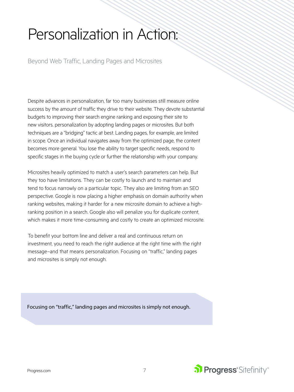## <span id="page-6-0"></span>Personalization in Action:

Beyond Web Traffic, Landing Pages and Microsites

Despite advances in personalization, far too many businesses still measure online success by the amount of traffic they drive to their website. They devote substantial budgets to improving their search engine ranking and exposing their site to new visitors. personalization by adopting landing pages or microsites. But both techniques are a "bridging" tactic at best. Landing pages, for example, are limited in scope. Once an individual navigates away from the optimized page, the content becomes more general. You lose the ability to target specific needs, respond to specific stages in the buying cycle or further the relationship with your company.

Microsites heavily optimized to match a user's search parameters can help. But they too have limitations. They can be costly to launch and to maintain and tend to focus narrowly on a particular topic. They also are limiting from an SEO perspective. Google is now placing a higher emphasis on domain authority when ranking websites, making it harder for a new microsite domain to achieve a highranking position in a search. Google also will penalize you for duplicate content, which makes it more time-consuming and costly to create an optimized microsite.

To benefit your bottom line and deliver a real and continuous return on investment, you need to reach the right audience at the right time with the right message–and that means personalization. Focusing on "traffic," landing pages and microsites is simply not enough.

Focusing on "traffic," landing pages and microsites is simply not enough.

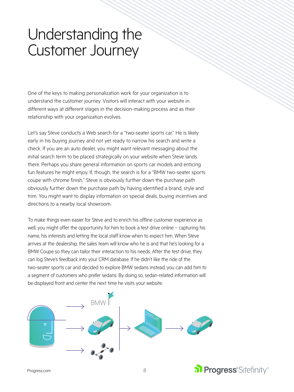### <span id="page-7-0"></span>Understanding the Customer Journey

One of the keys to making personalization work for your organization is to understand the customer journey. Visitors will interact with your website in different ways at different stages in the decision-making process and as their relationship with your organization evolves.

Let's say Steve conducts a Web search for a "two-seater sports car." He is likely early in his buying journey and not yet ready to narrow his search and write a check. If you are an auto dealer, you might want relevant messaging about the initial search term to be placed strategically on your website when Steve lands there. Perhaps you share general information on sports car models and enticing fun features he might enjoy. If, though, the search is for a "BMW two-seater sports coupe with chrome finish," Steve is obviously further down the purchase path obviously further down the purchase path by having identified a brand, style and trim. You might want to display information on special deals, buying incentives and directions to a nearby local showroom.

To make things even easier for Steve and to enrich his offline customer experience as well, you might offer the opportunity for him to book a test drive online – capturing his name, his interests and letting the local staff know when to expect him. When Steve arrives at the dealership, the sales team will know who he is and that he's looking for a BMW Coupe so they can tailor their interaction to his needs. After the test drive, they can log Steve's feedback into your CRM database. If he didn't like the ride of the two-seater sports car and decided to explore BMW sedans instead, you can add him to a segment of customers who prefer sedans. By doing so, sedan-related information will be displayed front and center the next time he visits your website.



[Progress.com](https://www.progress.com/) 8

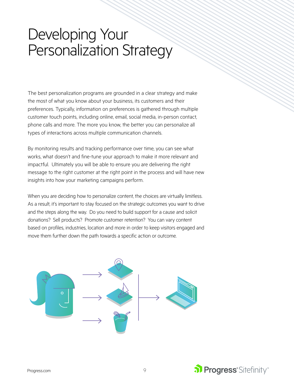### <span id="page-8-0"></span>Developing Your Personalization Strategy

The best personalization programs are grounded in a clear strategy and make the most of what you know about your business, its customers and their preferences. Typically, information on preferences is gathered through multiple customer touch points, including online, email, social media, in-person contact, phone calls and more. The more you know, the better you can personalize all types of interactions across multiple communication channels.

By monitoring results and tracking performance over time, you can see what works, what doesn't and fine-tune your approach to make it more relevant and impactful. Ultimately you will be able to ensure you are delivering the right message to the right customer at the right point in the process and will have new insights into how your marketing campaigns perform.

When you are deciding how to personalize content, the choices are virtually limitless. As a result, it's important to stay focused on the strategic outcomes you want to drive and the steps along the way. Do you need to build support for a cause and solicit donations? Sell products? Promote customer retention? You can vary content based on profiles, industries, location and more in order to keep visitors engaged and move them further down the path towards a specific action or outcome.



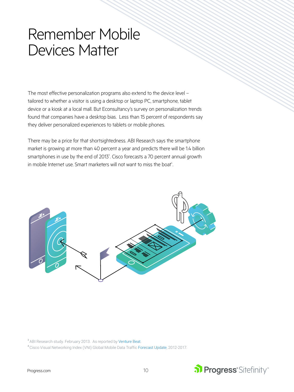### <span id="page-9-0"></span>Remember Mobile Devices Matter

The most effective personalization programs also extend to the device level – tailored to whether a visitor is using a desktop or laptop PC, smartphone, tablet device or a kiosk at a local mall. But Econsultancy's survey on personalization trends found that companies have a desktop bias. Less than 15 percent of respondents say they deliver personalized experiences to tablets or mobile phones.

There may be a price for that shortsightedness. ABI Research says the smartphone market is growing at more than 40 percent a year and predicts there will be 1.4 billion smartphones in use by the end of 2013<sup>3</sup>. Cisco forecasts a 70 percent annual growth in mobile Internet use. Smart marketers will not want to miss the boat<sup>4</sup>. .



<sup>3</sup> ABI Research study. February 2013. As reported by [Venture Beat](http://venturebeat.com/2013/02/06/800-million-android-smartphones-300-million-iphones-in-active-use-by-december-2013-study-says/).

<sup>4</sup> Cisco Visual Networking Index (VNI) Global Mobile Data Traffic [Forecast Update,](http://www.cisco.com/c/en/us/solutions/collateral/service-provider/visual-networking-index-vni/mobile-white-paper-c11-520862.html) 2012-2017.

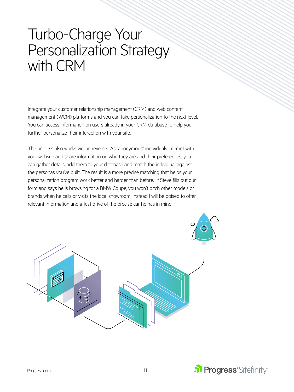### <span id="page-10-0"></span>Turbo-Charge Your Personalization Strategy with CRM

Integrate your customer relationship management (CRM) and web content management (WCM) platforms and you can take personalization to the next level. You can access information on users already in your CRM database to help you further personalize their interaction with your site.

The process also works well in reverse. As "anonymous" individuals interact with your website and share information on who they are and their preferences, you can gather details, add them to your database and match the individual against the personas you've built. The result is a more precise matching that helps your personalization program work better and harder than before. If Steve fills out our form and says he is browsing for a BMW Coupe, you won't pitch other models or brands when he calls or visits the local showroom. Instead I will be poised to offer relevant information and a test drive of the precise car he has in mind.



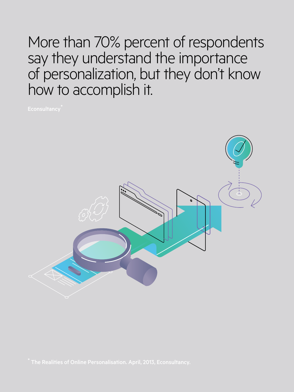More than 70% percent of respondents say they understand the importance of personalization, but they don't know how to accomplish it.

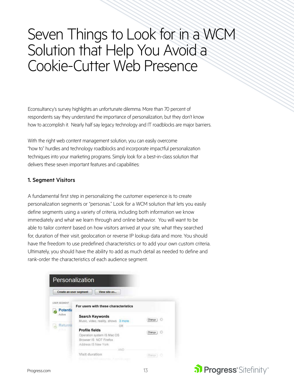### <span id="page-12-0"></span>Seven Things to Look for in a WCM Solution that Help You Avoid a Cookie-Cutter Web Presence

Econsultancy's survey highlights an unfortunate dilemma. More than 70 percent of respondents say they understand the importance of personalization, but they don't know how to accomplish it. Nearly half say legacy technology and IT roadblocks are major barriers.

With the right web content management solution, you can easily overcome "how to" hurdles and technology roadblocks and incorporate impactful personalization techniques into your marketing programs. Simply look for a best-in-class solution that delivers these seven important features and capabilities:

#### 1. Segment Visitors

A fundamental first step in personalizing the customer experience is to create personalization segments or "personas." Look for a WCM solution that lets you easily define segments using a variety of criteria, including both information we know immediately and what we learn through and online behavior. You will want to be able to tailor content based on how visitors arrived at your site, what they searched for, duration of their visit, geolocation or reverse IP lookup data and more. You should have the freedom to use predefined characteristics or to add your own custom criteria. Ultimately, you should have the ability to add as much detail as needed to define and rank-order the characteristics of each audience segment.

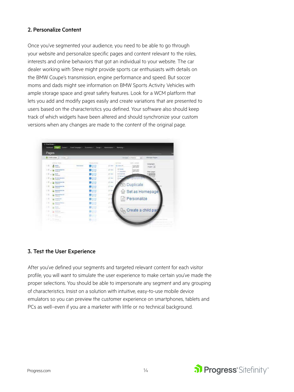#### 2. Personalize Content

Once you've segmented your audience, you need to be able to go through your website and personalize specific pages and content relevant to the roles, interests and online behaviors that got an individual to your website. The car dealer working with Steve might provide sports car enthusiasts with details on the BMW Coupe's transmission, engine performance and speed. But soccer moms and dads might see information on BMW Sports Activity Vehicles with ample storage space and great safety features. Look for a WCM platform that lets you add and modify pages easily and create variations that are presented to users based on the characteristics you defined. Your software also should keep track of which widgets have been altered and should synchronize your custom versions when any changes are made to the content of the original page.



#### 3. Test the User Experience

After you've defined your segments and targeted relevant content for each visitor profile, you will want to simulate the user experience to make certain you've made the proper selections. You should be able to impersonate any segment and any grouping of characteristics. Insist on a solution with intuitive, easy-to-use mobile device emulators so you can preview the customer experience on smartphones, tablets and PCs as well–even if you are a marketer with little or no technical background.

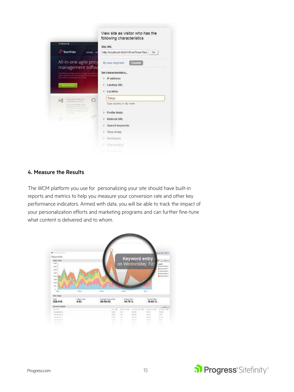

#### 4. Measure the Results

The WCM platform you use for personalizing your site should have built-in reports and metrics to help you measure your conversion rate and other key performance indicators. Armed with data, you will be able to track the impact of your personalization efforts and marketing programs and can further fine-tune what content is delivered and to whom.



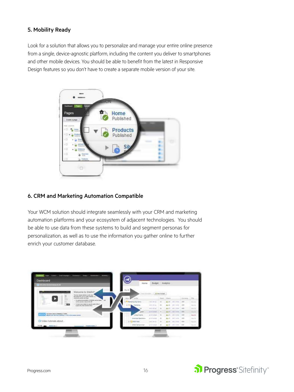#### 5. Mobility Ready

Look for a solution that allows you to personalize and manage your entire online presence from a single, device-agnostic platform, including the content you deliver to smartphones and other mobile devices. You should be able to benefit from the latest in Responsive Design features so you don't have to create a separate mobile version of your site.



#### 6. CRM and Marketing Automation Compatible

Your WCM solution should integrate seamlessly with your CRM and marketing automation platforms and your ecosystem of adjacent technologies. You should be able to use data from these systems to build and segment personas for personalization, as well as to use the information you gather online to further enrich your customer database.



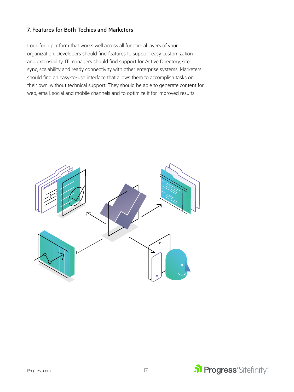#### 7. Features for Both Techies and Marketers

Look for a platform that works well across all functional layers of your organization. Developers should find features to support easy customization and extensibility. IT managers should find support for Active Directory, site sync, scalability and ready connectivity with other enterprise systems. Marketers should find an easy-to-use interface that allows them to accomplish tasks on their own, without technical support. They should be able to generate content for web, email, social and mobile channels and to optimize it for improved results.



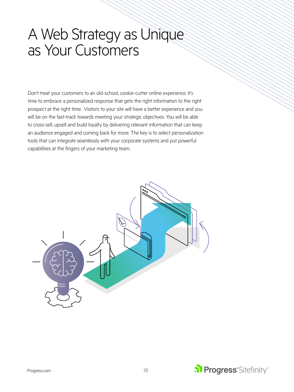### A Web Strategy as Unique as Your Customers

Don't treat your customers to an old-school, cookie-cutter online experience. It's time to embrace a personalized response that gets the right information to the right prospect at the right time. Visitors to your site will have a better experience and you will be on the fast-track towards meeting your strategic objectives. You will be able to cross-sell, upsell and build loyalty by delivering relevant information that can keep an audience engaged and coming back for more. The key is to select personalization tools that can integrate seamlessly with your corporate systems and put powerful capabilities at the fingers of your marketing team.



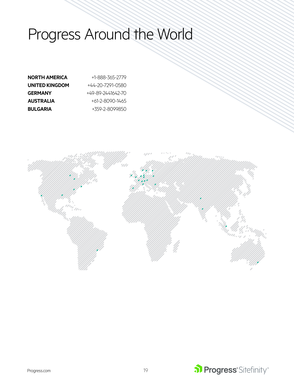# Progress Around the World

| <b>NORTH AMERICA</b> | +1-888-365-2779   |
|----------------------|-------------------|
| UNITED KINGDOM       | +44-20-7291-0580  |
| <b>GERMANY</b>       | +49-89-2441642-70 |
| <b>AUSTRALIA</b>     | +61-2-8090-1465   |
| <b>BULGARIA</b>      | +359-2-8099850    |